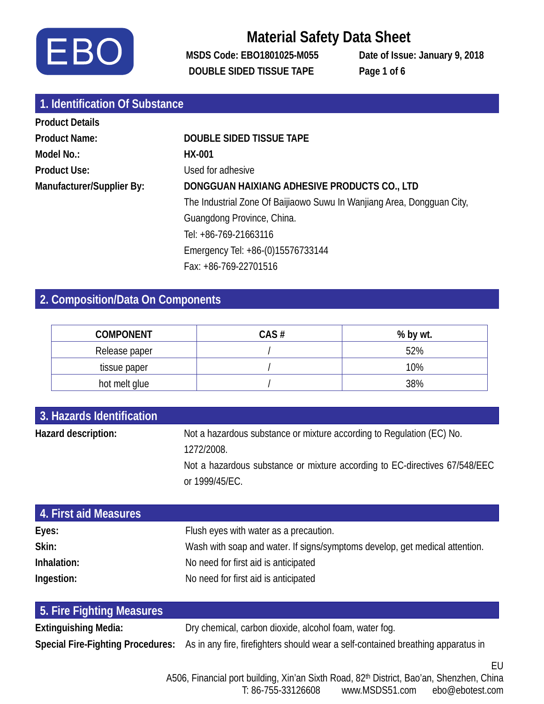

**MSDS Code: EBO1801025-M055 Date of Issue: January 9, 2018 DOUBLE SIDED TISSUE TAPE Page 1 of 6**

| 1. Identification Of Substance |                                                                        |
|--------------------------------|------------------------------------------------------------------------|
| <b>Product Details</b>         |                                                                        |
| <b>Product Name:</b>           | <b>DOUBLE SIDED TISSUE TAPE</b>                                        |
| Model No.:                     | HX-001                                                                 |
| <b>Product Use:</b>            | Used for adhesive                                                      |
| Manufacturer/Supplier By:      | DONGGUAN HAIXIANG ADHESIVE PRODUCTS CO., LTD                           |
|                                | The Industrial Zone Of Baijiaowo Suwu In Wanjiang Area, Dongguan City, |
|                                | Guangdong Province, China.                                             |
|                                | Tel: +86-769-21663116                                                  |
|                                | Emergency Tel: +86-(0)15576733144                                      |
|                                | Fax: +86-769-22701516                                                  |

### **2. Composition/Data On Components**

| <b>COMPONENT</b> | CAS# | % by wt. |
|------------------|------|----------|
| Release paper    |      | 52%      |
| tissue paper     |      | 10%      |
| hot melt glue    |      | 38%      |

| 3. Hazards Identification |                                                                                                                                                                                     |
|---------------------------|-------------------------------------------------------------------------------------------------------------------------------------------------------------------------------------|
| Hazard description:       | Not a hazardous substance or mixture according to Regulation (EC) No.<br>1272/2008.<br>Not a hazardous substance or mixture according to EC-directives 67/548/EEC<br>or 1999/45/EC. |
| 4. First aid Measures     |                                                                                                                                                                                     |
| Eyes:                     | Flush eyes with water as a precaution.                                                                                                                                              |
| Skin:                     | Wash with soap and water. If signs/symptoms develop, get medical attention.                                                                                                         |
| Inhalation:               | No need for first aid is anticipated                                                                                                                                                |
| Ingestion:                | No need for first aid is anticipated                                                                                                                                                |

| 5. Fire Fighting Measures |                                                                                                                    |
|---------------------------|--------------------------------------------------------------------------------------------------------------------|
| Extinguishing Media:      | Dry chemical, carbon dioxide, alcohol foam, water fog.                                                             |
|                           | Special Fire-Fighting Procedures: As in any fire, firefighters should wear a self-contained breathing apparatus in |

A506, Financial port building, Xin'an Sixth Road, 82<sup>th</sup> District, Bao'an, Shenzhen, China<br>T: 86-755-33126608 www.MSDS51.com ebo@ebotest.com www.MSDS51.com ebo@ebotest.com

EU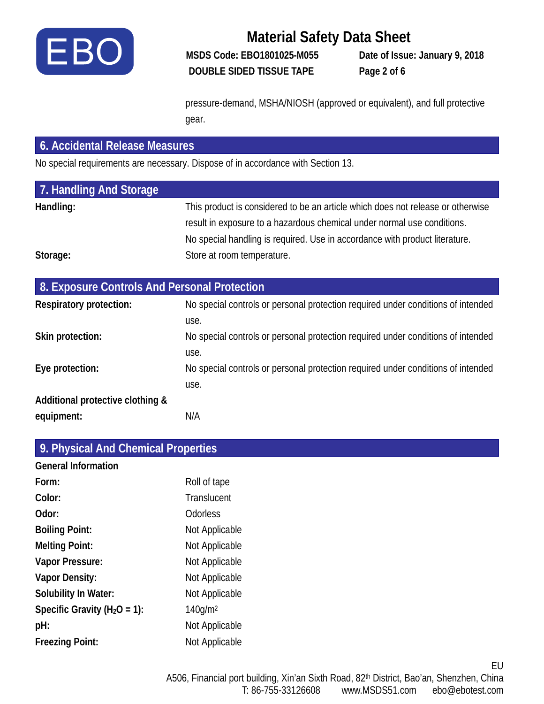

**MSDS Code: EBO1801025-M055 Date of Issue: January 9, 2018 DOUBLE SIDED TISSUE TAPE Page 2 of 6**

pressure-demand, MSHA/NIOSH (approved or equivalent), and full protective gear.

#### **6. Accidental Release Measures**

No special requirements are necessary. Dispose of in accordance with Section 13.

| 7. Handling And Storage |                                                                                 |
|-------------------------|---------------------------------------------------------------------------------|
| Handling:               | This product is considered to be an article which does not release or otherwise |
|                         | result in exposure to a hazardous chemical under normal use conditions.         |
|                         | No special handling is required. Use in accordance with product literature.     |
| Storage:                | Store at room temperature.                                                      |

| 8. Exposure Controls And Personal Protection |                                                                                  |
|----------------------------------------------|----------------------------------------------------------------------------------|
| <b>Respiratory protection:</b>               | No special controls or personal protection required under conditions of intended |
|                                              | use.                                                                             |
| Skin protection:                             | No special controls or personal protection required under conditions of intended |
|                                              | use.                                                                             |
| Eye protection:                              | No special controls or personal protection required under conditions of intended |
|                                              | use.                                                                             |
| Additional protective clothing &             |                                                                                  |
| equipment:                                   | N/A                                                                              |

| 9. Physical And Chemical Properties |                     |
|-------------------------------------|---------------------|
| <b>General Information</b>          |                     |
| Form:                               | Roll of tape        |
| Color:                              | Translucent         |
| Odor:                               | <b>Odorless</b>     |
| <b>Boiling Point:</b>               | Not Applicable      |
| <b>Melting Point:</b>               | Not Applicable      |
| Vapor Pressure:                     | Not Applicable      |
| <b>Vapor Density:</b>               | Not Applicable      |
| Solubility In Water:                | Not Applicable      |
| Specific Gravity ( $H_2O = 1$ ):    | 140q/m <sup>2</sup> |
| pH:                                 | Not Applicable      |
| <b>Freezing Point:</b>              | Not Applicable      |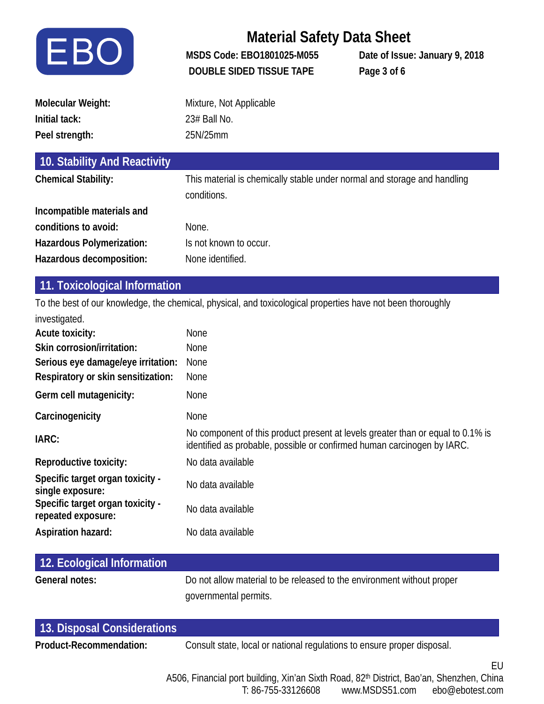

**MSDS Code: EBO1801025-M055 Date of Issue: January 9, 2018 DOUBLE SIDED TISSUE TAPE Page 3 of 6**

| Molecular Weight: | Mixture, Not Applicable |
|-------------------|-------------------------|
| Initial tack:     | 23# Ball No.            |
| Peel strength:    | 25N/25mm                |

| 10. Stability And Reactivity |                                                                                         |
|------------------------------|-----------------------------------------------------------------------------------------|
| <b>Chemical Stability:</b>   | This material is chemically stable under normal and storage and handling<br>conditions. |
| Incompatible materials and   |                                                                                         |
| conditions to avoid:         | None.                                                                                   |
| Hazardous Polymerization:    | Is not known to occur.                                                                  |
| Hazardous decomposition:     | None identified.                                                                        |

#### **11. Toxicological Information**

To the best of our knowledge, the chemical, physical, and toxicological properties have not been thoroughly investigated.

| <b>None</b>                                                                                                                                                |
|------------------------------------------------------------------------------------------------------------------------------------------------------------|
| <b>None</b>                                                                                                                                                |
| <b>None</b>                                                                                                                                                |
| <b>None</b>                                                                                                                                                |
| None                                                                                                                                                       |
| None                                                                                                                                                       |
| No component of this product present at levels greater than or equal to 0.1% is<br>identified as probable, possible or confirmed human carcinogen by IARC. |
| No data available                                                                                                                                          |
| No data available                                                                                                                                          |
| No data available                                                                                                                                          |
| No data available                                                                                                                                          |
|                                                                                                                                                            |

| 12. Ecological Information |                                                                        |
|----------------------------|------------------------------------------------------------------------|
| General notes:             | Do not allow material to be released to the environment without proper |
|                            | governmental permits.                                                  |

| 13. Disposal Considerations |                                                                         |  |
|-----------------------------|-------------------------------------------------------------------------|--|
| Product-Recommendation:     | Consult state, local or national regulations to ensure proper disposal. |  |
|                             |                                                                         |  |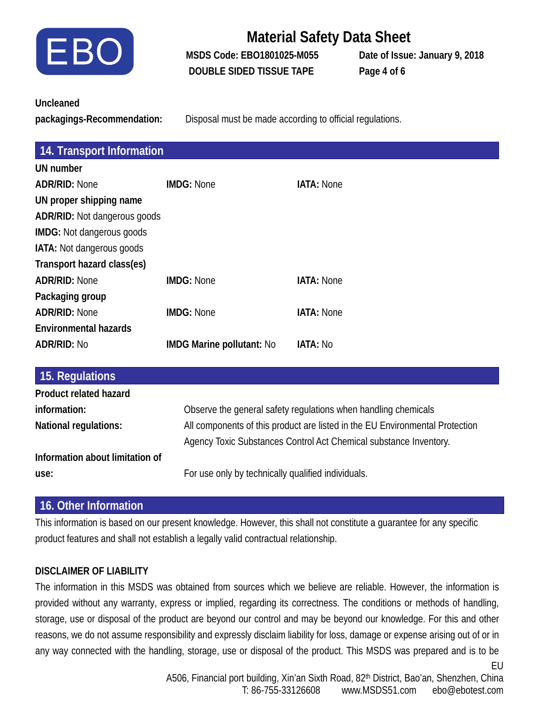

**MSDS Code: EBO1801025-M055 Date of Issue: January 9, 2018 DOUBLE SIDED TISSUE TAPE Page 4 of 6**

|  | <b>Uncleaned</b> |
|--|------------------|
|  |                  |

**packagings-Recommendation:** Disposal must be made according to official regulations.

| 14. Transport Information           |                                                                              |                                                                   |  |  |
|-------------------------------------|------------------------------------------------------------------------------|-------------------------------------------------------------------|--|--|
| UN number                           |                                                                              |                                                                   |  |  |
| <b>ADR/RID: None</b>                | <b>IMDG: None</b>                                                            | <b>IATA: None</b>                                                 |  |  |
| UN proper shipping name             |                                                                              |                                                                   |  |  |
| <b>ADR/RID:</b> Not dangerous goods |                                                                              |                                                                   |  |  |
| <b>IMDG:</b> Not dangerous goods    |                                                                              |                                                                   |  |  |
| <b>IATA:</b> Not dangerous goods    |                                                                              |                                                                   |  |  |
| Transport hazard class(es)          |                                                                              |                                                                   |  |  |
| <b>ADR/RID: None</b>                | <b>IMDG: None</b>                                                            | <b>IATA: None</b>                                                 |  |  |
| Packaging group                     |                                                                              |                                                                   |  |  |
| <b>ADR/RID: None</b>                | <b>IMDG: None</b>                                                            | <b>IATA: None</b>                                                 |  |  |
| <b>Environmental hazards</b>        |                                                                              |                                                                   |  |  |
| <b>ADR/RID: No</b>                  | <b>IMDG Marine pollutant: No</b>                                             | <b>IATA: No</b>                                                   |  |  |
|                                     |                                                                              |                                                                   |  |  |
| 15. Regulations                     |                                                                              |                                                                   |  |  |
| <b>Product related hazard</b>       |                                                                              |                                                                   |  |  |
| information:                        | Observe the general safety regulations when handling chemicals               |                                                                   |  |  |
| National regulations:               | All components of this product are listed in the EU Environmental Protection |                                                                   |  |  |
|                                     |                                                                              | Agency Toxic Substances Control Act Chemical substance Inventory. |  |  |
| Information about limitation of     |                                                                              |                                                                   |  |  |

**use:** For use only by technically qualified individuals.

#### **16. Other Information**

This information is based on our present knowledge. However, this shall not constitute a guarantee for any specific product features and shall not establish a legally valid contractual relationship.

#### **DISCLAIMER OF LIABILITY**

The information in this MSDS was obtained from sources which we believe are reliable. However, the information is provided without any warranty, express or implied, regarding its correctness. The conditions or methods of handling, storage, use or disposal of the product are beyond our control and may be beyond our knowledge. For this and other reasons, we do not assume responsibility and expressly disclaim liability for loss, damage or expense arising out of or in any way connected with the handling, storage, use or disposal of the product. This MSDS was prepared and is to be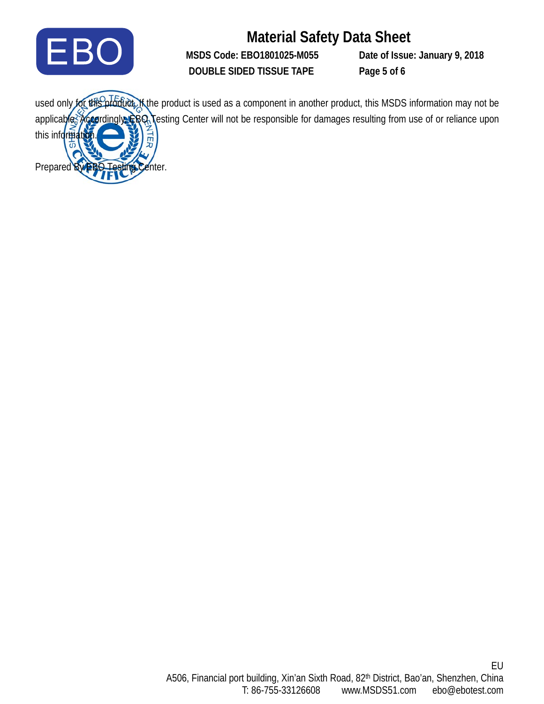

**MSDS Code: EBO1801025-M055 Date of Issue: January 9, 2018 DOUBLE SIDED TISSUE TAPE Page 5 of 6**

used only for this product. If the product is used as a component in another product, this MSDS information may not be applicable. Accordingly, EBQ Testing Center will not be responsible for damages resulting from use of or reliance upon this information. Prepared By **EBO Testing Center.**